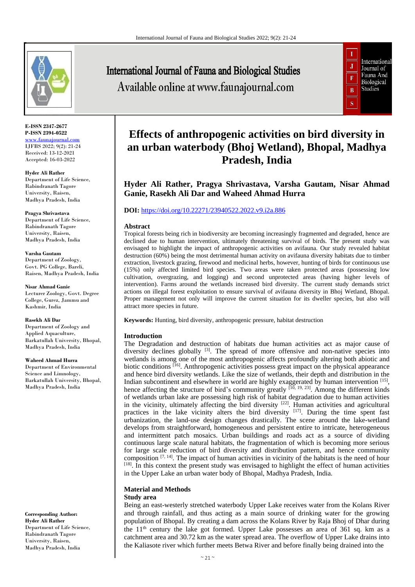

**E-ISSN 2347-2677 P-ISSN 2394-0522** [www.faunajournal.com](http://www.faunajournal.com/) IJFBS 2022; 9(2): 21-24 Received: 13-12-2021 Accepted: 16-03-2022

**Hyder Ali Rather** Department of Life Science, Rabindranath Tagore University, Raisen, Madhya Pradesh, India

**Pragya Shrivastava** Department of Life Science, Rabindranath Tagore University, Raisen, Madhya Pradesh, India

**Varsha Gautam** Department of Zoology, Govt. PG College, Bareli, Raisen, Madhya Pradesh, India

**Nisar Ahmad Ganie** Lecturer Zoology, Govt. Degree College, Gurez, Jammu and Kashmir, India

**Rasekh Ali Dar** Department of Zoology and Applied Aquaculture, Barkatullah University, Bhopal, Madhya Pradesh, India

**Waheed Ahmad Hurra**

Department of Environmental Science and Limnology, Barkatullah University, Bhopal, Madhya Pradesh, India

**Corresponding Author: Hyder Ali Rather** Department of Life Science, Rabindranath Tagore University, Raisen, Madhya Pradesh, India

# International Journal of Fauna and Biological Studies Available online at www.faunajournal.com



## **Effects of anthropogenic activities on bird diversity in an urban waterbody (Bhoj Wetland), Bhopal, Madhya Pradesh, India**

**Hyder Ali Rather, Pragya Shrivastava, Varsha Gautam, Nisar Ahmad Ganie, Rasekh Ali Dar and Waheed Ahmad Hurra**

#### **DOI:** <https://doi.org/10.22271/23940522.2022.v9.i2a.886>

#### **Abstract**

Tropical forests being rich in biodiversity are becoming increasingly fragmented and degraded, hence are declined due to human intervention, ultimately threatening survival of birds. The present study was envisaged to highlight the impact of anthropogenic activities on avifauna. Our study revealed habitat destruction (60%) being the most detrimental human activity on avifauna diversity habitats due to timber extraction, livestock grazing, firewood and medicinal herbs, however, hunting of birds for continuous use (15%) only affected limited bird species. Two areas were taken protected areas (possessing low cultivation, overgrazing, and logging) and second unprotected areas (having higher levels of intervention). Farms around the wetlands increased bird diversity. The current study demands strict actions on illegal forest exploitation to ensure survival of avifauna diversity in Bhoj Wetland, Bhopal. Proper management not only will improve the current situation for its dweller species, but also will attract more species in future.

**Keywords:** Hunting, bird diversity, anthropogenic pressure, habitat destruction

#### **Introduction**

The Degradation and destruction of habitats due human activities act as major cause of diversity declines globally <sup>[3]</sup>. The spread of more offensive and non-native species into wetlands is among one of the most anthropogenic affects profoundly altering both abiotic and biotic conditions <sup>[16]</sup>. Anthropogenic activities possess great impact on the physical appearance and hence bird diversity wetlands. Like the size of wetlands, their depth and distribution in the Indian subcontinent and elsewhere in world are highly exaggerated by human intervention [15], hence affecting the structure of bird's community greatly  $[10, 19, 23]$ . Among the different kinds of wetlands urban lake are possessing high risk of habitat degradation due to human activities in the vicinity, ultimately affecting the bird diversity  $[22]$ . Human activities and agricultural practices in the lake vicinity alters the bird diversity  $[17]$ . During the time spent fast urbanization, the land-use design changes drastically. The scene around the lake-wetland develops from straightforward, homogeneous and persistent entire to intricate, heterogeneous and intermittent patch mosaics. Urban buildings and roads act as a source of dividing continuous large scale natural habitats, the fragmentation of which is becoming more serious for large scale reduction of bird diversity and distribution pattern, and hence community composition  $[7, 14]$ . The impact of human activities in vicinity of the habitats is the need of hour [18]. In this context the present study was envisaged to highlight the effect of human activities in the Upper Lake an urban water body of Bhopal, Madhya Pradesh, India.

### **Material and Methods**

#### **Study area**

Being an east-westerly stretched waterbody Upper Lake receives water from the Kolans River and through rainfall, and thus acting as a main source of drinking water for the growing population of Bhopal. By creating a dam across the Kolans River by Raja Bhoj of Dhar during the 11<sup>th</sup> century the lake got formed. Upper Lake possesses an area of 361 sq. km as a catchment area and 30.72 km as the water spread area. The overflow of Upper Lake drains into the Kaliasote river which further meets Betwa River and before finally being drained into the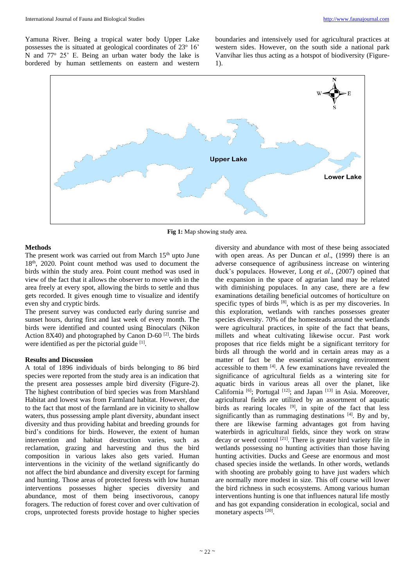Yamuna River. Being a tropical water body Upper Lake possesses the is situated at geological coordinates of 23° 16' N and  $77^{\circ}$  25' E. Being an urban water body the lake is bordered by human settlements on eastern and western boundaries and intensively used for agricultural practices at western sides. However, on the south side a national park Vanvihar lies thus acting as a hotspot of biodiversity (Figure-1).



**Fig 1:** Map showing study area.

#### **Methods**

The present work was carried out from March  $15<sup>th</sup>$  upto June 18<sup>th</sup>, 2020. Point count method was used to document the birds within the study area. Point count method was used in view of the fact that it allows the observer to move with in the area freely at every spot, allowing the birds to settle and thus gets recorded. It gives enough time to visualize and identify even shy and cryptic birds.

The present survey was conducted early during sunrise and sunset hours, during first and last week of every month. The birds were identified and counted using Binoculars (Nikon Action 8X40) and photographed by Canon D-60 $^{[2]}$ . The birds were identified as per the pictorial guide [1].

#### **Results and Discussion**

A total of 1896 individuals of birds belonging to 86 bird species were reported from the study area is an indication that the present area possesses ample bird diversity (Figure-2). The highest contribution of bird species was from Marshland Habitat and lowest was from Farmland habitat. However, due to the fact that most of the farmland are in vicinity to shallow waters, thus possessing ample plant diversity, abundant insect diversity and thus providing habitat and breeding grounds for bird's conditions for birds. However, the extent of human intervention and habitat destruction varies, such as reclamation, grazing and harvesting and thus the bird composition in various lakes also gets varied. Human interventions in the vicinity of the wetland significantly do not affect the bird abundance and diversity except for farming and hunting. Those areas of protected forests with low human interventions possesses higher species diversity and abundance, most of them being insectivorous, canopy foragers. The reduction of forest cover and over cultivation of crops, unprotected forests provide hostage to higher species

diversity and abundance with most of these being associated with open areas. As per Duncan *et al.*, (1999) there is an adverse consequence of agribusiness increase on wintering duck's populaces. However, Long *et al*., (2007) opined that the expansion in the space of agrarian land may be related with diminishing populaces. In any case, there are a few examinations detailing beneficial outcomes of horticulture on specific types of birds [8], which is as per my discoveries. In this exploration, wetlands with ranches possesses greater species diversity. 70% of the homesteads around the wetlands were agricultural practices, in spite of the fact that beans, millets and wheat cultivating likewise occur. Past work proposes that rice fields might be a significant territory for birds all through the world and in certain areas may as a matter of fact be the essential scavenging environment accessible to them [4]. A few examinations have revealed the significance of agricultural fields as a wintering site for aquatic birds in various areas all over the planet, like California <sup>[6]</sup>; Portugal <sup>[12]</sup>; and Japan <sup>[13]</sup> in Asia. Moreover, agricultural fields are utilized by an assortment of aquatic birds as rearing locales  $[9]$ , in spite of the fact that less significantly than as rummaging destinations  $[4]$ . By and by, there are likewise farming advantages got from having waterbirds in agricultural fields, since they work on straw decay or weed control<sup>[21]</sup>. There is greater bird variety file in wetlands possessing no hunting activities than those having hunting activities. Ducks and Geese are enormous and most chased species inside the wetlands. In other words, wetlands with shooting are probably going to have just waders which are normally more modest in size. This off course will lower the bird richness in such ecosystems. Among various human interventions hunting is one that influences natural life mostly and has got expanding consideration in ecological, social and monetary aspects [20].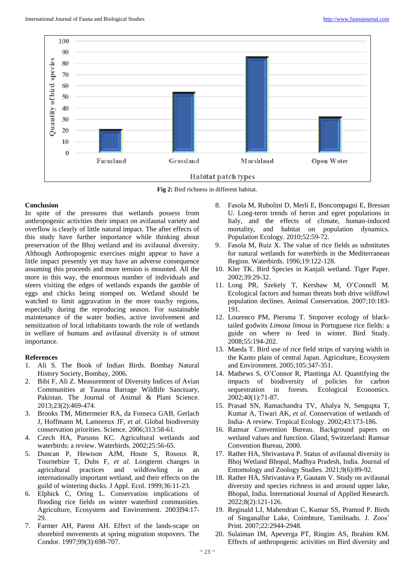

**Fig 2:** Bird richness in different habitat.

#### **Conclusion**

In spite of the pressures that wetlands possess from anthropogenic activities their impact on avifaunal variety and overflow is clearly of little natural impact. The after effects of this study have further importance while thinking about preservation of the Bhoj wetland and its avifaunal diversity. Although Anthropogenic exercises might appear to have a little impact presently yet may have an adverse consequence assuming this proceeds and more tension is mounted. All the more in this way, the enormous number of individuals and steers visiting the edges of wetlands expands the gamble of eggs and chicks being stomped on. Wetland should be watched to limit aggravation in the more touchy regions, especially during the reproducing season. For sustainable maintenance of the water bodies, active involvement and sensitization of local inhabitants towards the role of wetlands in welfare of humans and avifaunal diversity is of utmost importance.

#### **References**

- 1. Ali S. The Book of Indian Birds. Bombay Natural History Society, Bombay, 2006.
- 2. Bibi F, Ali Z. Measurement of Diversity Indices of Avian Communities at Taunsa Barrage Wildlife Sanctuary, Pakistan. The Journal of Animal & Plant Science. 2013;23(2):469-474.
- 3. Brooks TM, Mittermeier RA, da Fonseca GAB, Gerlach J, Hoffmann M, Lamoreux JF, *et al*. Global biodiversity conservation priorities. Science. 2006;313:58-61.
- 4. Czech HA, Parsons KC. Agricultural wetlands and waterbirds: a review. Waterbirds. 2002;25:56-65.
- 5. Duncan P, Hewison AJM, Houte S, Rosoux R, Tournebize T, Dubs F, *et al*. Longterm changes in agricultural practices and wildfowling in an internationally important wetland, and their effects on the guild of wintering ducks. J Appl. Ecol. 1999;36:11-23.
- 6. Elphick C, Oring L. Conservation implications of flooding rice fields on winter waterbird communities. Agriculture, Ecosystem and Environment. 2003l94:17- 29.
- 7. Farmer AH, Parent AH. Effect of the lands-scape on shorebird movements at spring migration stopovers. The Condor. 1997;99(3):698-707.
- 8. Fasola M, Rubolini D, Merli E, Boncompagni E, Bressan U. Long-term trends of heron and egret populations in Italy, and the effects of climate, human-induced mortality, and habitat on population dynamics. Population Ecology. 2010;52:59-72.
- 9. Fasola M, Ruiz X. The value of rice fields as substitutes for natural wetlands for waterbirds in the Mediterranean Region. Waterbirds. 1996;19:122-128.
- 10. Kler TK. Bird Species in Kanjali wetland. Tiger Paper. 2002;39:29-32.
- 11. Long PR, Szekely T, Kershaw M, O'Connell M. Ecological factors and human threats both drive wildfowl population declines. Animal Conservation. 2007;10:183- 191.
- 12. Lourenco PM, Piersma T. Stopover ecology of blacktailed godwits *Limosa limosa* in Portuguese rice fields: a guide on where to feed in winter. Bird Study. 2008;55:194-202.
- 13. Maeda T. Bird use of rice field strips of varying width in the Kanto plain of central Japan. Agriculture, Ecosystem and Environment. 2005;105:347-351.
- 14. Mathews S, O'Connor R, Plantinga AJ. Quantifying the impacts of biodiversity of policies for carbon sequestration in forests. Ecological Economics. 2002;40(1):71-87.
- 15. Prasad SN, Ramachandra TV, Ahalya N, Sengupta T, Kumar A, Tiwari AK, *et al*. Conservation of wetlands of India- A review*.* Tropical Ecology. 2002;43:173-186.
- 16. Ramsar Convention Bureau. Background papers on wetland values and function. Gland, Switzerland: Ramsar Convention Bureau, 2000.
- 17. Rather HA, Shrivastava P. Status of avifaunal diversity in Bhoj Wetland Bhopal, Madhya Pradesh, India. Journal of Entomology and Zoology Studies. 2021;9(6):89-92.
- 18. Rather HA, Shrivastava P, Gautam V. Study on avifaunal diversity and species richness in and around upper lake, Bhopal, India. International Journal of Applied Research. 2022;8(2):121-126.
- 19. Reginald LJ, Mahendran C, Kumar SS, Pramod P. Birds of Singanallur Lake, Coimbture, Tamilnadu. J. Zoos' Print. 2007;22:2944-2948.
- 20. Sulaiman IM, Apeverga PT, Ringim AS, Ibrahim KM. Effects of anthropogenic activities on Bird diversity and